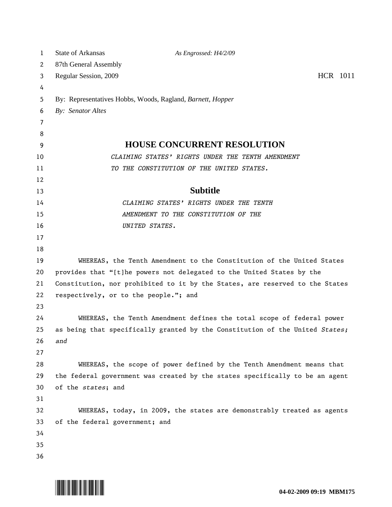| $\mathbf{1}$   | <b>State of Arkansas</b>                                              | As Engrossed: H4/2/09                                                        |          |
|----------------|-----------------------------------------------------------------------|------------------------------------------------------------------------------|----------|
| 2              | 87th General Assembly                                                 |                                                                              |          |
| 3              | Regular Session, 2009                                                 |                                                                              | HCR 1011 |
| 4              |                                                                       |                                                                              |          |
| 5              |                                                                       | By: Representatives Hobbs, Woods, Ragland, Barnett, Hopper                   |          |
| 6              | By: Senator Altes                                                     |                                                                              |          |
| $\overline{7}$ |                                                                       |                                                                              |          |
| 8              |                                                                       |                                                                              |          |
| 9              |                                                                       | <b>HOUSE CONCURRENT RESOLUTION</b>                                           |          |
| 10             |                                                                       | CLAIMING STATES' RIGHTS UNDER THE TENTH AMENDMENT                            |          |
| 11             |                                                                       | TO THE CONSTITUTION OF THE UNITED STATES.                                    |          |
| 12             |                                                                       |                                                                              |          |
| 13             |                                                                       | <b>Subtitle</b>                                                              |          |
| 14             |                                                                       | CLAIMING STATES' RIGHTS UNDER THE TENTH                                      |          |
| 15             |                                                                       | AMENDMENT TO THE CONSTITUTION OF THE                                         |          |
| 16             |                                                                       | UNITED STATES.                                                               |          |
| 17             |                                                                       |                                                                              |          |
| 18             |                                                                       |                                                                              |          |
| 19             | WHEREAS, the Tenth Amendment to the Constitution of the United States |                                                                              |          |
| 20             | provides that "[t]he powers not delegated to the United States by the |                                                                              |          |
| 21             |                                                                       | Constitution, nor prohibited to it by the States, are reserved to the States |          |
| 22             | respectively, or to the people."; and                                 |                                                                              |          |
| 23             |                                                                       |                                                                              |          |
| 24             |                                                                       | WHEREAS, the Tenth Amendment defines the total scope of federal power        |          |
| 25             |                                                                       | as being that specifically granted by the Constitution of the United States; |          |
| 26             | and                                                                   |                                                                              |          |
| 27             |                                                                       |                                                                              |          |
| 28             |                                                                       | WHEREAS, the scope of power defined by the Tenth Amendment means that        |          |
| 29             |                                                                       | the federal government was created by the states specifically to be an agent |          |
| 30             | of the states; and                                                    |                                                                              |          |
| 31             |                                                                       |                                                                              |          |
| 32             |                                                                       | WHEREAS, today, in 2009, the states are demonstrably treated as agents       |          |
| 33<br>34       | of the federal government; and                                        |                                                                              |          |
| 35             |                                                                       |                                                                              |          |
| 36             |                                                                       |                                                                              |          |
|                |                                                                       |                                                                              |          |